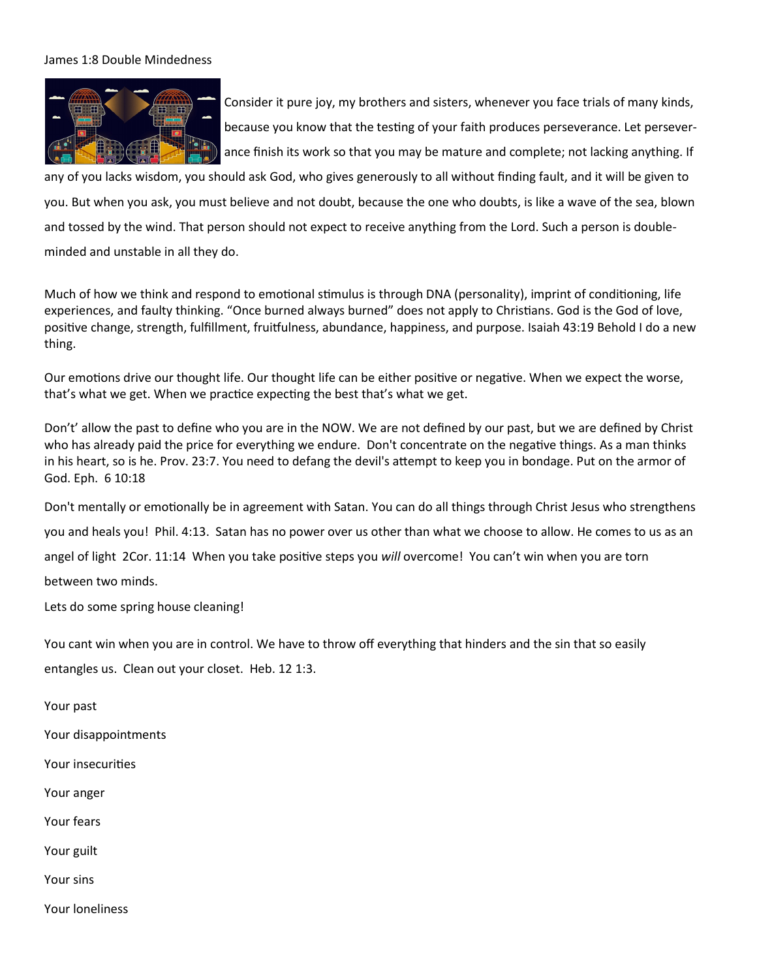## James 1:8 Double Mindedness



Consider it pure joy, my brothers and sisters, whenever you face trials of many kinds, because you know that the testing of your faith produces perseverance. Let perseverance finish its work so that you may be mature and complete; not lacking anything. If

any of you lacks wisdom, you should ask God, who gives generously to all without finding fault, and it will be given to you. But when you ask, you must believe and not doubt, because the one who doubts, is like a wave of the sea, blown and tossed by the wind. That person should not expect to receive anything from the Lord. Such a person is doubleminded and unstable in all they do.

Much of how we think and respond to emotional stimulus is through DNA (personality), imprint of conditioning, life experiences, and faulty thinking. "Once burned always burned" does not apply to Christians. God is the God of love, positive change, strength, fulfillment, fruitfulness, abundance, happiness, and purpose. Isaiah 43:19 Behold I do a new thing.

Our emotions drive our thought life. Our thought life can be either positive or negative. When we expect the worse, that's what we get. When we practice expecting the best that's what we get.

Don't' allow the past to define who you are in the NOW. We are not defined by our past, but we are defined by Christ who has already paid the price for everything we endure. Don't concentrate on the negative things. As a man thinks in his heart, so is he. Prov. 23:7. You need to defang the devil's attempt to keep you in bondage. Put on the armor of God. Eph. 6 10:18

Don't mentally or emotionally be in agreement with Satan. You can do all things through Christ Jesus who strengthens you and heals you! Phil. 4:13. Satan has no power over us other than what we choose to allow. He comes to us as an angel of light 2Cor. 11:14 When you take positive steps you *will* overcome! You can't win when you are torn between two minds.

Lets do some spring house cleaning!

You cant win when you are in control. We have to throw off everything that hinders and the sin that so easily

entangles us. Clean out your closet. Heb. 12 1:3.

Your past

Your disappointments

Your insecurities

Your anger

Your fears

Your guilt

Your sins

Your loneliness